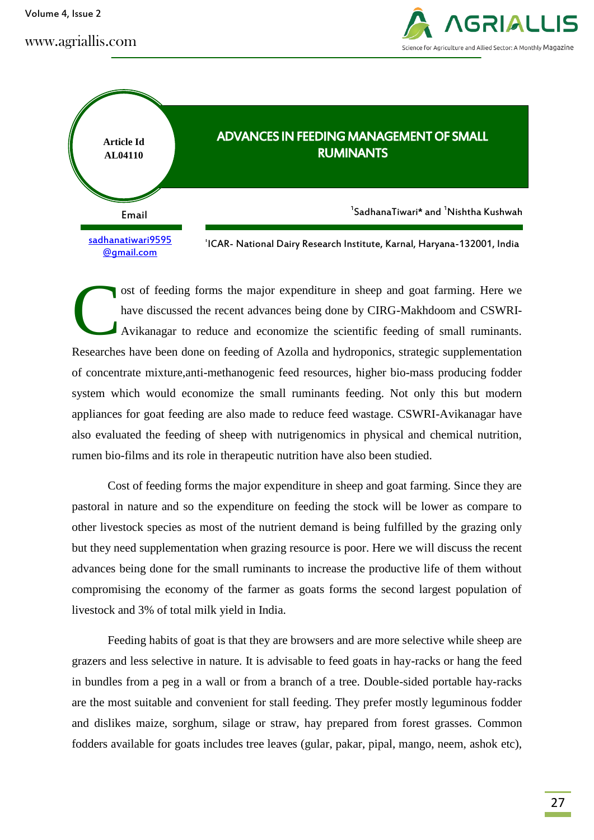Volume 4, Issue 2

www.agriallis.com





ost of feeding forms the major expenditure in sheep and goat farming. Here we have discussed the recent advances being done by CIRG-Makhdoom and CSWRI-Avikanagar to reduce and economize the scientific feeding of small ruminants. Researches have been done on feeding of Azolla and hydroponics, strategic supplementation of concentrate mixture,anti-methanogenic feed resources, higher bio-mass producing fodder system which would economize the small ruminants feeding. Not only this but modern appliances for goat feeding are also made to reduce feed wastage. CSWRI-Avikanagar have also evaluated the feeding of sheep with nutrigenomics in physical and chemical nutrition, rumen bio-films and its role in therapeutic nutrition have also been studied. C

Cost of feeding forms the major expenditure in sheep and goat farming. Since they are pastoral in nature and so the expenditure on feeding the stock will be lower as compare to other livestock species as most of the nutrient demand is being fulfilled by the grazing only but they need supplementation when grazing resource is poor. Here we will discuss the recent advances being done for the small ruminants to increase the productive life of them without compromising the economy of the farmer as goats forms the second largest population of livestock and 3% of total milk yield in India.

Feeding habits of goat is that they are browsers and are more selective while sheep are grazers and less selective in nature. It is advisable to feed goats in hay-racks or hang the feed in bundles from a peg in a wall or from a branch of a tree. Double-sided portable hay-racks are the most suitable and convenient for stall feeding. They prefer mostly leguminous fodder and dislikes maize, sorghum, silage or straw, hay prepared from forest grasses. Common fodders available for goats includes tree leaves (gular, pakar, pipal, mango, neem, ashok etc),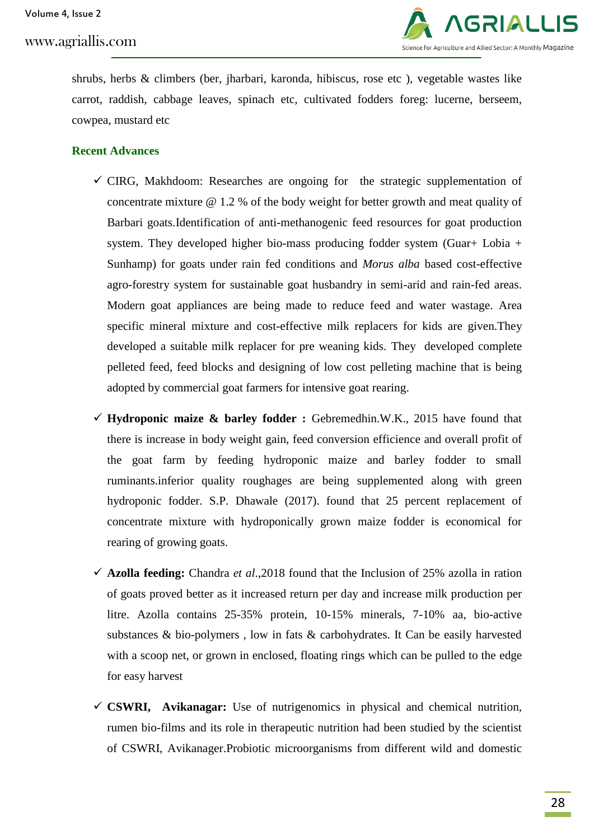

shrubs, herbs & climbers (ber, jharbari, karonda, hibiscus, rose etc ), vegetable wastes like carrot, raddish, cabbage leaves, spinach etc, cultivated fodders foreg: lucerne, berseem, cowpea, mustard etc

## **Recent Advances**

- $\checkmark$  CIRG, Makhdoom: Researches are ongoing for the strategic supplementation of concentrate mixture @ 1.2 % of the body weight for better growth and meat quality of Barbari goats.Identification of anti-methanogenic feed resources for goat production system. They developed higher bio-mass producing fodder system (Guar+ Lobia + Sunhamp) for goats under rain fed conditions and *Morus alba* based cost-effective agro-forestry system for sustainable goat husbandry in semi-arid and rain-fed areas. Modern goat appliances are being made to reduce feed and water wastage. Area specific mineral mixture and cost-effective milk replacers for kids are given.They developed a suitable milk replacer for pre weaning kids. They developed complete pelleted feed, feed blocks and designing of low cost pelleting machine that is being adopted by commercial goat farmers for intensive goat rearing.
- $\checkmark$  Hydroponic maize & barley fodder : Gebremedhin.W.K., 2015 have found that there is increase in body weight gain, feed conversion efficience and overall profit of the goat farm by feeding hydroponic maize and barley fodder to small ruminants.inferior quality roughages are being supplemented along with green hydroponic fodder. S.P. Dhawale (2017). found that 25 percent replacement of concentrate mixture with hydroponically grown maize fodder is economical for rearing of growing goats.
- **Azolla feeding:** Chandra *et al*.,2018 found that the Inclusion of 25% azolla in ration of goats proved better as it increased return per day and increase milk production per litre. Azolla contains 25-35% protein, 10-15% minerals, 7-10% aa, bio-active substances & bio-polymers , low in fats & carbohydrates. It Can be easily harvested with a scoop net, or grown in enclosed, floating rings which can be pulled to the edge for easy harvest
- **CSWRI, Avikanagar:** Use of nutrigenomics in physical and chemical nutrition, rumen bio-films and its role in therapeutic nutrition had been studied by the scientist of CSWRI, Avikanager.Probiotic microorganisms from different wild and domestic